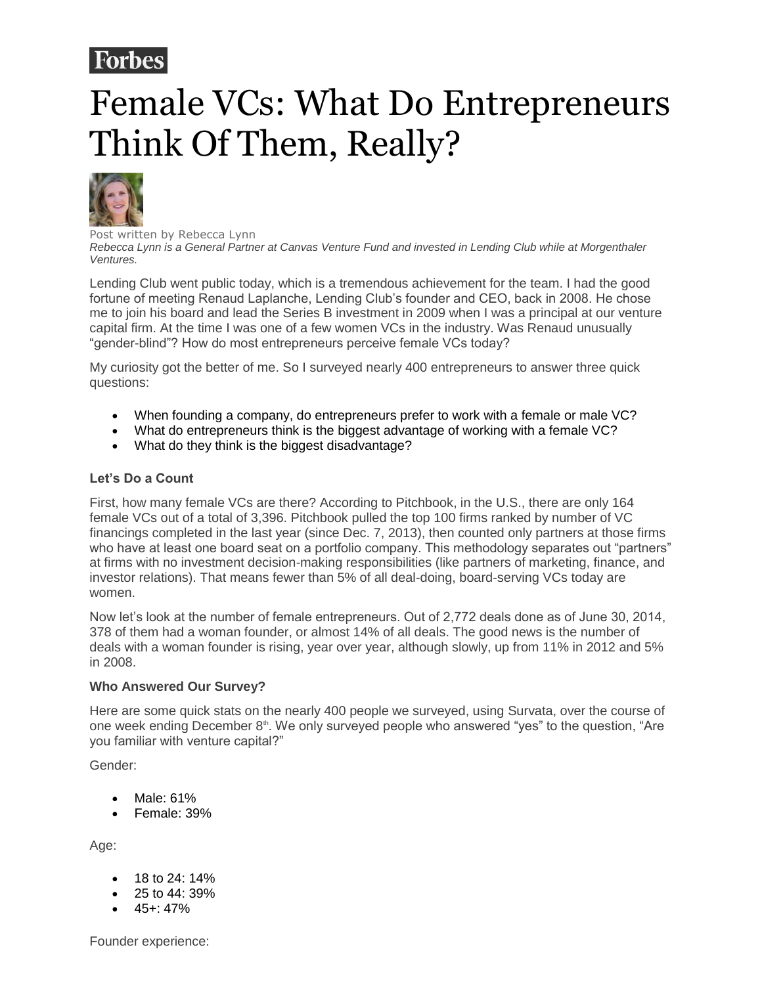# **Forbes**

# Female VCs: What Do Entrepreneurs Think Of Them, Really?



Post written by Rebecca Lynn *Rebecca Lynn is a General Partner at Canvas Venture Fund and invested in Lending Club while at Morgenthaler Ventures.*

Lending Club went public today, which is a tremendous achievement for the team. I had the good fortune of meeting Renaud Laplanche, Lending Club's founder and CEO, back in 2008. He chose me to join his board and lead the Series B investment in 2009 when I was a principal at our venture capital firm. At the time I was one of a few women VCs in the industry. Was Renaud unusually "gender-blind"? How do most entrepreneurs perceive female VCs today?

My curiosity got the better of me. So I surveyed nearly 400 entrepreneurs to answer three quick questions:

- When founding a company, do entrepreneurs prefer to work with a female or male VC?
- What do entrepreneurs think is the biggest advantage of working with a female VC?
- What do they think is the biggest disadvantage?

## **Let's Do a Count**

First, how many female VCs are there? According to Pitchbook, in the U.S., there are only 164 female VCs out of a total of 3,396. Pitchbook pulled the top 100 firms ranked by number of VC financings completed in the last year (since Dec. 7, 2013), then counted only partners at those firms who have at least one board seat on a portfolio company. This methodology separates out "partners" at firms with no investment decision-making responsibilities (like partners of marketing, finance, and investor relations). That means fewer than 5% of all deal-doing, board-serving VCs today are women.

Now let's look at the number of female entrepreneurs. Out of 2,772 deals done as of June 30, 2014, 378 of them had a woman founder, or almost 14% of all deals. The good news is the number of deals with a woman founder is rising, year over year, although slowly, up from 11% in 2012 and 5% in 2008.

## **Who Answered Our Survey?**

Here are some quick stats on the nearly 400 people we surveyed, using Survata, over the course of one week ending December  $8<sup>th</sup>$ . We only surveyed people who answered "yes" to the question, "Are you familiar with venture capital?"

Gender:

- Male: 61%
- Female: 39%

Age:

- 18 to 24: 14%
- 25 to 44: 39%
- 45+: 47%

Founder experience: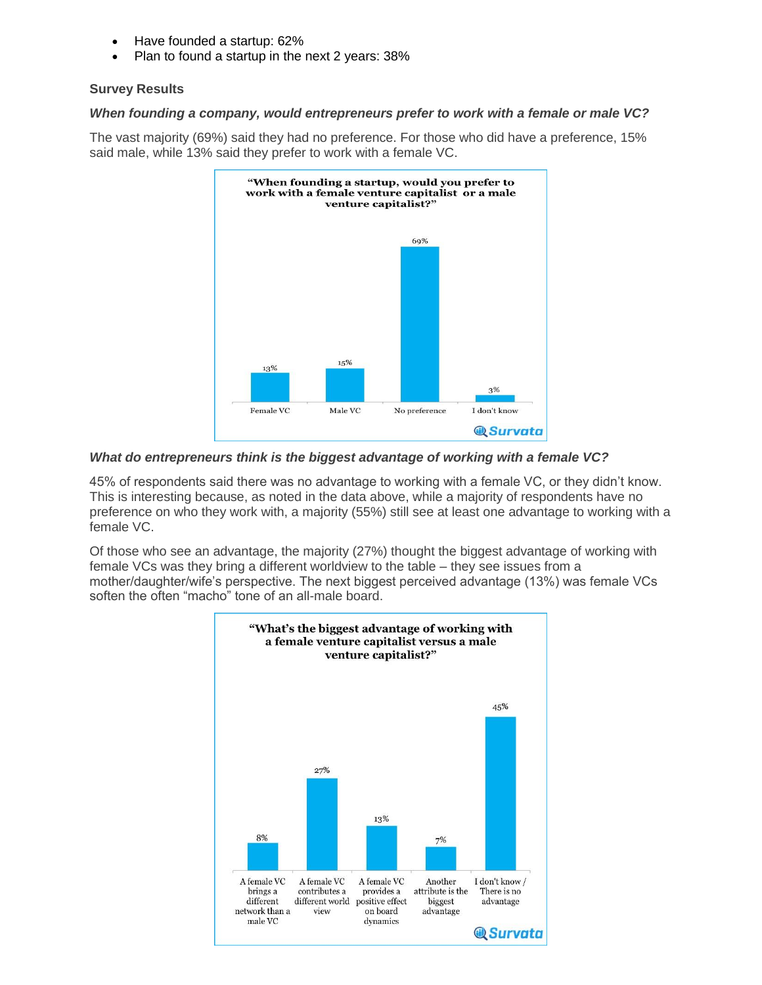- Have founded a startup: 62%
- Plan to found a startup in the next 2 years: 38%

#### **Survey Results**

#### *When founding a company, would entrepreneurs prefer to work with a female or male VC?*

The vast majority (69%) said they had no preference. For those who did have a preference, 15% said male, while 13% said they prefer to work with a female VC.



#### *What do entrepreneurs think is the biggest advantage of working with a female VC?*

45% of respondents said there was no advantage to working with a female VC, or they didn't know. This is interesting because, as noted in the data above, while a majority of respondents have no preference on who they work with, a majority (55%) still see at least one advantage to working with a female VC.

Of those who see an advantage, the majority (27%) thought the biggest advantage of working with female VCs was they bring a different worldview to the table – they see issues from a mother/daughter/wife's perspective. The next biggest perceived advantage (13%) was female VCs soften the often "macho" tone of an all-male board.